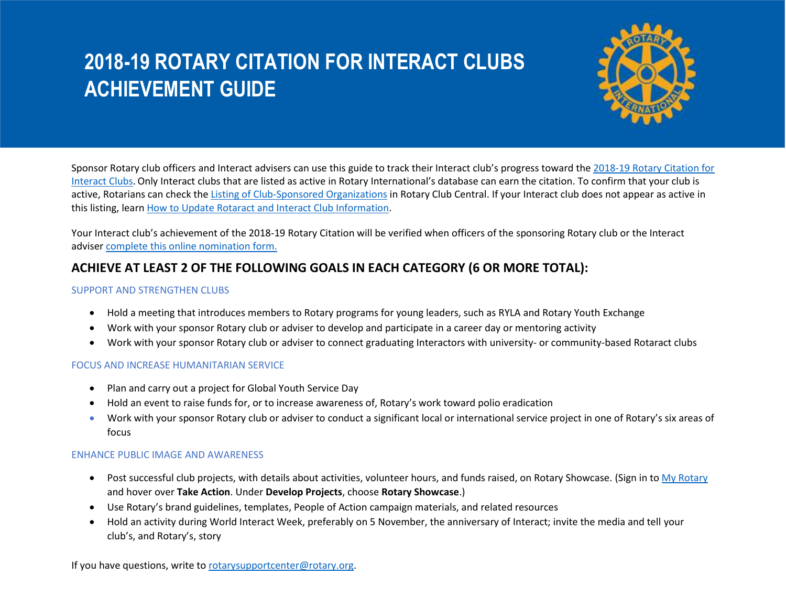# **2018-19 ROTARY CITATION FOR INTERACT CLUBS ACHIEVEMENT GUIDE**



Sponsor Rotary club officers and Interact advisers can use this guide to track their Interact club's progress toward the [2018-19 Rotary Citation for](https://my.rotary.org/en/document/2018-19-presidential-theme-and-citation-brochure-barry-rassin-2018-19-ri-president)  [Interact Clubs.](https://my.rotary.org/en/document/2018-19-presidential-theme-and-citation-brochure-barry-rassin-2018-19-ri-president)Only Interact clubs that are listed as active in Rotary International's database can earn the citation. To confirm that your club is active, Rotarians can check th[e Listing of Club-Sponsored Organizations](https://my.rotary.org/en/document/listing-club-sponsored-organizations-rotaract-interact-rcc) in Rotary Club Central. If your Interact club does not appear as active in this listing, learn [How to Update Rotaract and Interact Club Information.](https://my.rotary.org/en/document/how-update-rotaract-and-interact-club-information)

Your Interact club's achievement of the 2018-19 Rotary Citation will be verified when officers of the sponsoring Rotary club or the Interact advise[r complete this online nomination form.](https://rotary.qualtrics.com/jfe/form/SV_50WRcEopbghe3Qx)

## **ACHIEVE AT LEAST 2 OF THE FOLLOWING GOALS IN EACH CATEGORY (6 OR MORE TOTAL):**

#### SUPPORT AND STRENGTHEN CLUBS

- Hold a meeting that introduces members to Rotary programs for young leaders, such as RYLA and Rotary Youth Exchange
- Work with your sponsor Rotary club or adviser to develop and participate in a career day or mentoring activity
- Work with your sponsor Rotary club or adviser to connect graduating Interactors with university- or community-based Rotaract clubs

#### FOCUS AND INCREASE HUMANITARIAN SERVICE

- Plan and carry out a project for Global Youth Service Day
- Hold an event to raise funds for, or to increase awareness of, Rotary's work toward polio eradication
- Work with your sponsor Rotary club or adviser to conduct a significant local or international service project in one of Rotary's six areas of focus

### ENHANCE PUBLIC IMAGE AND AWARENESS

- Post successful club projects, with details about activities, volunteer hours, and funds raised, on Rotary Showcase. (Sign in t[o My Rotary](https://my.rotary.org/) and hover over **Take Action**. Under **Develop Projects**, choose **Rotary Showcase**.)
- Use Rotary's brand guidelines, templates, People of Action campaign materials, and related resources
- Hold an activity during World Interact Week, preferably on 5 November, the anniversary of Interact; invite the media and tell your club's, and Rotary's, story

If you have questions, write to [rotarysupportcenter@rotary.org.](mailto:rotarysupportcenter@rotary.org)